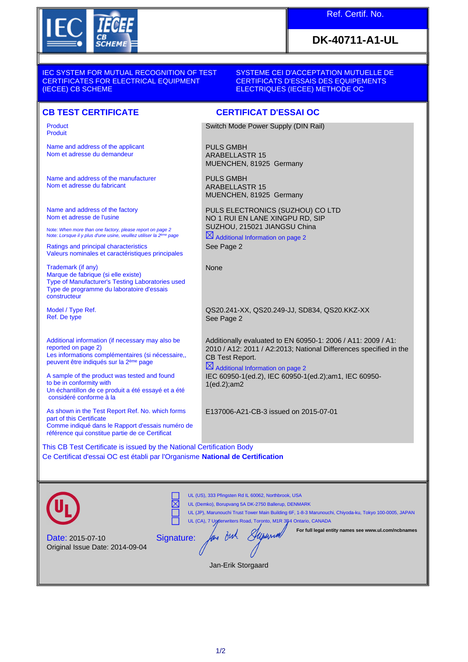

## Ref. Certif. No.

## **DK-40711-A1-UL**

IEC SYSTEM FOR MUTUAL RECOGNITION OF TEST CERTIFICATES FOR ELECTRICAL EQUIPMENT (IECEE) CB SCHEME

SYSTEME CEI D'ACCEPTATION MUTUELLE DE CERTIFICATS D'ESSAIS DES EQUIPEMENTS ELECTRIQUES (IECEE) METHODE OC

Product Produit

Name and address of the applicant Nom et adresse du demandeur

Name and address of the manufacturer Nom et adresse du fabricant

Name and address of the factory Nom et adresse de l'usine

Note: *When more than one factory, please report on page 2*<br>Note: *Lorsque il y plus d'une usine, veuillez utiliser la 2<sup>ème</sup> page* 

Ratings and principal characteristics Valeurs nominales et caractéristiques principales

Trademark (if any) Marque de fabrique (si elle existe) Type of Manufacturer's Testing Laboratories used Type de programme du laboratoire d'essais constructeur

Model / Type Ref. Ref. De type

Additional information (if necessary may also be reported on page 2) Les informations complémentaires (si nécessaire,, peuvent être indiqués sur la 2ème page

A sample of the product was tested and found to be in conformity with Un échantillon de ce produit a été essayé et a été considéré conforme à la

As shown in the Test Report Ref. No. which forms part of this Certificate Comme indiqué dans le Rapport d'essais numéro de référence qui constitue partie de ce Certificat

**CB TEST CERTIFICATE CERTIFICAT D'ESSAI OC**

Switch Mode Power Supply (DIN Rail)

PULS GMBH ARABELLASTR 15 MUENCHEN, 81925 Germany

PULS GMBH ARABELLASTR 15 MUENCHEN, 81925 Germany

PULS ELECTRONICS (SUZHOU) CO LTD NO 1 RUI EN LANE XINGPU RD, SIP SUZHOU, 215021 JIANGSU China

 $\boxtimes$  Additional Information on page 2 See Page 2

None

QS20.241-XX, QS20.249-JJ, SD834, QS20.KKZ-XX See Page 2

Additionally evaluated to EN 60950-1: 2006 / A11: 2009 / A1: 2010 / A12: 2011 / A2:2013; National Differences specified in the CB Test Report.

 $\boxtimes$  Additional Information on page 2

IEC 60950-1(ed.2), IEC 60950-1(ed.2);am1, IEC 60950- 1(ed.2);am2

E137006-A21-CB-3 issued on 2015-07-01

This CB Test Certificate is issued by the National Certification Body Ce Certificat d'essai OC est établi par l'Organisme **National de Certification**

UL (US), 333 Pfingsten Rd IL 60062, Northbrook, USA ⋉ UL (Demko), Borupvang 5A DK-2750 Ballerup, DENMARK UL (JP), Marunouchi Trust Tower Main Building 6F, 1-8-3 Marunouchi, Chiyoda-ku, Tokyo 100-0005, JAPAN UL (CA), 7 Underwriters Road, Toronto, M1R 3D4 Ontario, CANADA Superna **For full legal entity names see www.ul.com/ncbnames** an Buh Signature: Date: 2015-07-10 Original Issue Date: 2014-09-04 Jan-Erik Storgaard